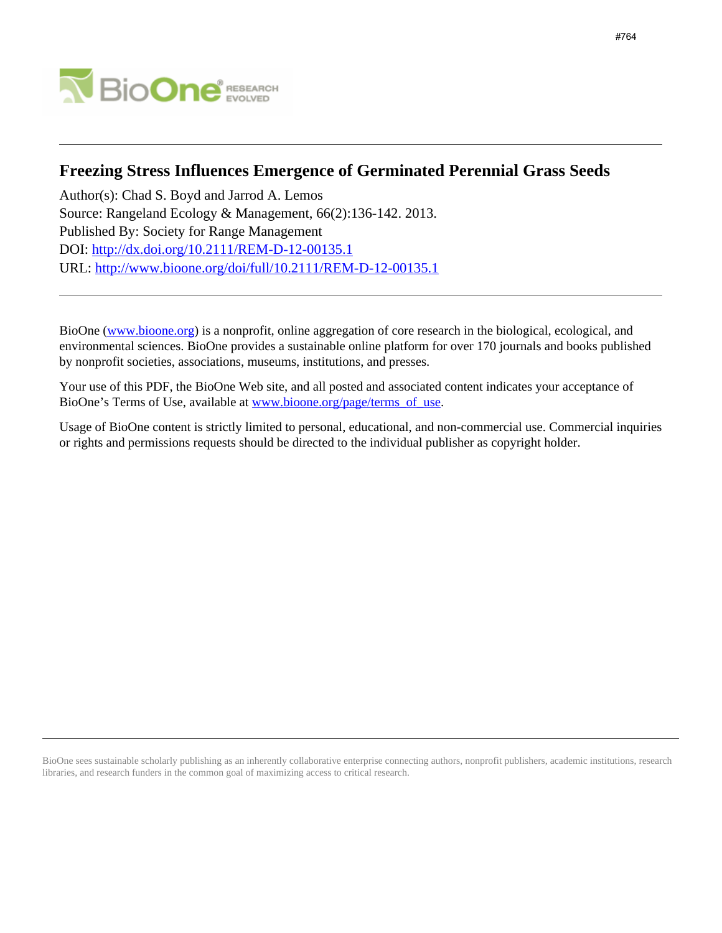

# **Freezing Stress Influences Emergence of Germinated Perennial Grass Seeds**

Author(s): Chad S. Boyd and Jarrod A. Lemos Source: Rangeland Ecology & Management, 66(2):136-142. 2013. Published By: Society for Range Management DOI:<http://dx.doi.org/10.2111/REM-D-12-00135.1> URL: <http://www.bioone.org/doi/full/10.2111/REM-D-12-00135.1>

BioOne [\(www.bioone.org\)](http://www.bioone.org) is a nonprofit, online aggregation of core research in the biological, ecological, and environmental sciences. BioOne provides a sustainable online platform for over 170 journals and books published by nonprofit societies, associations, museums, institutions, and presses.

Your use of this PDF, the BioOne Web site, and all posted and associated content indicates your acceptance of BioOne's Terms of Use, available at [www.bioone.org/page/terms\\_of\\_use.](http://www.bioone.org/page/terms_of_use)

Usage of BioOne content is strictly limited to personal, educational, and non-commercial use. Commercial inquiries or rights and permissions requests should be directed to the individual publisher as copyright holder.

BioOne sees sustainable scholarly publishing as an inherently collaborative enterprise connecting authors, nonprofit publishers, academic institutions, research libraries, and research funders in the common goal of maximizing access to critical research.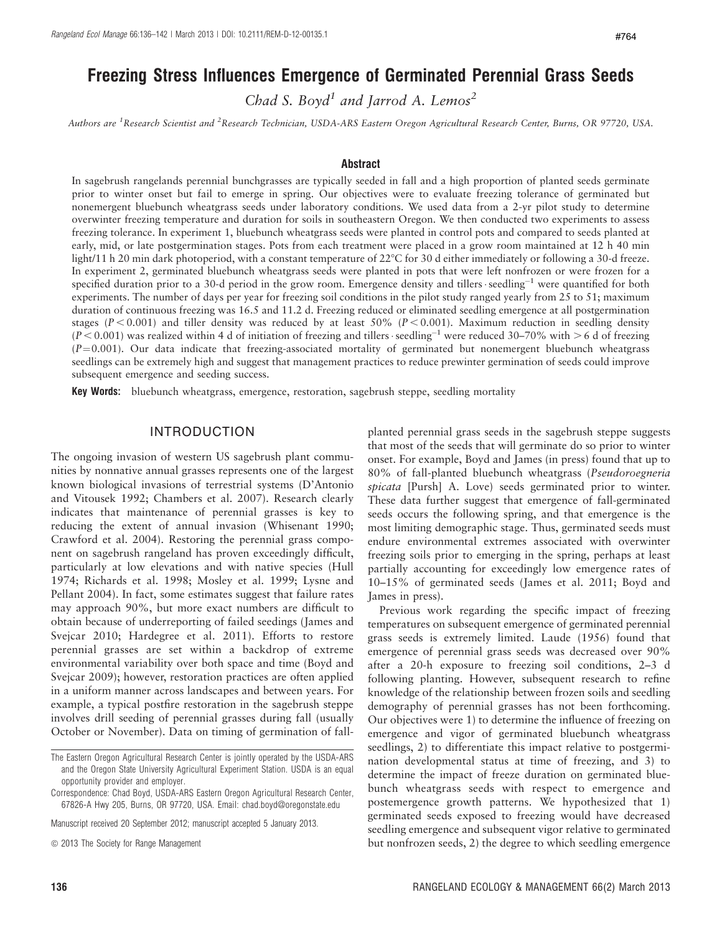# Freezing Stress Influences Emergence of Germinated Perennial Grass Seeds

Chad S. Boyd<sup>1</sup> and Jarrod A. Lemos<sup>2</sup>

Authors are <sup>1</sup>Research Scientist and <sup>2</sup>Research Technician, USDA-ARS Eastern Oregon Agricultural Research Center, Burns, OR 97720, USA.

#### **Abstract**

In sagebrush rangelands perennial bunchgrasses are typically seeded in fall and a high proportion of planted seeds germinate prior to winter onset but fail to emerge in spring. Our objectives were to evaluate freezing tolerance of germinated but nonemergent bluebunch wheatgrass seeds under laboratory conditions. We used data from a 2-yr pilot study to determine overwinter freezing temperature and duration for soils in southeastern Oregon. We then conducted two experiments to assess freezing tolerance. In experiment 1, bluebunch wheatgrass seeds were planted in control pots and compared to seeds planted at early, mid, or late postgermination stages. Pots from each treatment were placed in a grow room maintained at 12 h 40 min light/11 h 20 min dark photoperiod, with a constant temperature of 22°C for 30 d either immediately or following a 30-d freeze. In experiment 2, germinated bluebunch wheatgrass seeds were planted in pots that were left nonfrozen or were frozen for a specified duration prior to a 30-d period in the grow room. Emergence density and tillers seedling<sup>-1</sup> were quantified for both experiments. The number of days per year for freezing soil conditions in the pilot study ranged yearly from 25 to 51; maximum duration of continuous freezing was 16.5 and 11.2 d. Freezing reduced or eliminated seedling emergence at all postgermination stages ( $P < 0.001$ ) and tiller density was reduced by at least 50% ( $P < 0.001$ ). Maximum reduction in seedling density  $(P < 0.001)$  was realized within 4 d of initiation of freezing and tillers seedling<sup>-1</sup> were reduced 30-70% with > 6 d of freezing  $(P=0.001)$ . Our data indicate that freezing-associated mortality of germinated but nonemergent bluebunch wheatgrass seedlings can be extremely high and suggest that management practices to reduce prewinter germination of seeds could improve subsequent emergence and seeding success.

**Key Words:** bluebunch wheatgrass, emergence, restoration, sagebrush steppe, seedling mortality

#### INTRODUCTION

The ongoing invasion of western US sagebrush plant communities by nonnative annual grasses represents one of the largest known biological invasions of terrestrial systems (D'Antonio and Vitousek 1992; Chambers et al. 2007). Research clearly indicates that maintenance of perennial grasses is key to reducing the extent of annual invasion (Whisenant 1990; Crawford et al. 2004). Restoring the perennial grass component on sagebrush rangeland has proven exceedingly difficult, particularly at low elevations and with native species (Hull 1974; Richards et al. 1998; Mosley et al. 1999; Lysne and Pellant 2004). In fact, some estimates suggest that failure rates may approach 90%, but more exact numbers are difficult to obtain because of underreporting of failed seedings (James and Svejcar 2010; Hardegree et al. 2011). Efforts to restore perennial grasses are set within a backdrop of extreme environmental variability over both space and time (Boyd and Svejcar 2009); however, restoration practices are often applied in a uniform manner across landscapes and between years. For example, a typical postfire restoration in the sagebrush steppe involves drill seeding of perennial grasses during fall (usually October or November). Data on timing of germination of fall-

Manuscript received 20 September 2012; manuscript accepted 5 January 2013.

 $\odot$  2013 The Society for Range Management

planted perennial grass seeds in the sagebrush steppe suggests that most of the seeds that will germinate do so prior to winter onset. For example, Boyd and James (in press) found that up to 80% of fall-planted bluebunch wheatgrass (Pseudoroegneria spicata [Pursh] A. Love) seeds germinated prior to winter. These data further suggest that emergence of fall-germinated seeds occurs the following spring, and that emergence is the most limiting demographic stage. Thus, germinated seeds must endure environmental extremes associated with overwinter freezing soils prior to emerging in the spring, perhaps at least partially accounting for exceedingly low emergence rates of 10–15% of germinated seeds (James et al. 2011; Boyd and James in press).

Previous work regarding the specific impact of freezing temperatures on subsequent emergence of germinated perennial grass seeds is extremely limited. Laude (1956) found that emergence of perennial grass seeds was decreased over 90% after a 20-h exposure to freezing soil conditions, 2–3 d following planting. However, subsequent research to refine knowledge of the relationship between frozen soils and seedling demography of perennial grasses has not been forthcoming. Our objectives were 1) to determine the influence of freezing on emergence and vigor of germinated bluebunch wheatgrass seedlings, 2) to differentiate this impact relative to postgermination developmental status at time of freezing, and 3) to determine the impact of freeze duration on germinated bluebunch wheatgrass seeds with respect to emergence and postemergence growth patterns. We hypothesized that 1) germinated seeds exposed to freezing would have decreased seedling emergence and subsequent vigor relative to germinated but nonfrozen seeds, 2) the degree to which seedling emergence

The Eastern Oregon Agricultural Research Center is jointly operated by the USDA-ARS and the Oregon State University Agricultural Experiment Station. USDA is an equal opportunity provider and employer.

Correspondence: Chad Boyd, USDA-ARS Eastern Oregon Agricultural Research Center, 67826-A Hwy 205, Burns, OR 97720, USA. Email: chad.boyd@oregonstate.edu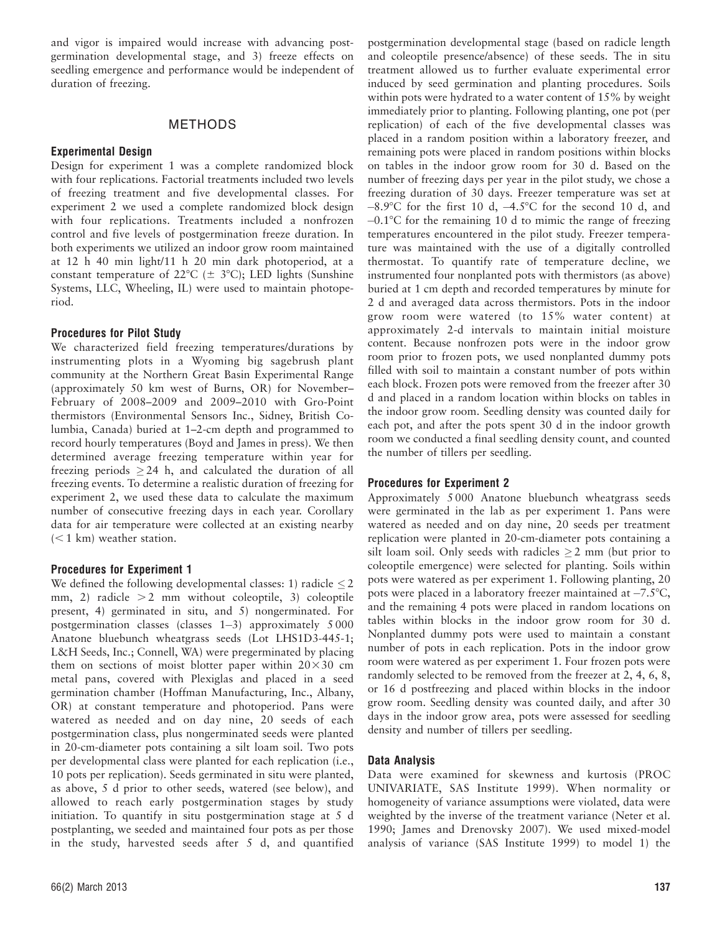and vigor is impaired would increase with advancing postgermination developmental stage, and 3) freeze effects on seedling emergence and performance would be independent of duration of freezing.

#### METHODS

#### Experimental Design

Design for experiment 1 was a complete randomized block with four replications. Factorial treatments included two levels of freezing treatment and five developmental classes. For experiment 2 we used a complete randomized block design with four replications. Treatments included a nonfrozen control and five levels of postgermination freeze duration. In both experiments we utilized an indoor grow room maintained at 12 h 40 min light/11 h 20 min dark photoperiod, at a constant temperature of 22 $\degree$ C ( $\pm$  3 $\degree$ C); LED lights (Sunshine Systems, LLC, Wheeling, IL) were used to maintain photoperiod.

#### Procedures for Pilot Study

We characterized field freezing temperatures/durations by instrumenting plots in a Wyoming big sagebrush plant community at the Northern Great Basin Experimental Range (approximately 50 km west of Burns, OR) for November– February of 2008–2009 and 2009–2010 with Gro-Point thermistors (Environmental Sensors Inc., Sidney, British Columbia, Canada) buried at 1–2-cm depth and programmed to record hourly temperatures (Boyd and James in press). We then determined average freezing temperature within year for freezing periods  $\geq$  24 h, and calculated the duration of all freezing events. To determine a realistic duration of freezing for experiment 2, we used these data to calculate the maximum number of consecutive freezing days in each year. Corollary data for air temperature were collected at an existing nearby  $(< 1$  km) weather station.

#### Procedures for Experiment 1

We defined the following developmental classes: 1) radicle  $\leq$  2 mm, 2) radicle  $>2$  mm without coleoptile, 3) coleoptile present, 4) germinated in situ, and 5) nongerminated. For postgermination classes (classes  $1-3$ ) approximately  $5\,000$ Anatone bluebunch wheatgrass seeds (Lot LHS1D3-445-1; L&H Seeds, Inc.; Connell, WA) were pregerminated by placing them on sections of moist blotter paper within  $20\times30$  cm metal pans, covered with Plexiglas and placed in a seed germination chamber (Hoffman Manufacturing, Inc., Albany, OR) at constant temperature and photoperiod. Pans were watered as needed and on day nine, 20 seeds of each postgermination class, plus nongerminated seeds were planted in 20-cm-diameter pots containing a silt loam soil. Two pots per developmental class were planted for each replication (i.e., 10 pots per replication). Seeds germinated in situ were planted, as above, 5 d prior to other seeds, watered (see below), and allowed to reach early postgermination stages by study initiation. To quantify in situ postgermination stage at 5 d postplanting, we seeded and maintained four pots as per those in the study, harvested seeds after 5 d, and quantified

postgermination developmental stage (based on radicle length and coleoptile presence/absence) of these seeds. The in situ treatment allowed us to further evaluate experimental error induced by seed germination and planting procedures. Soils within pots were hydrated to a water content of 15% by weight immediately prior to planting. Following planting, one pot (per replication) of each of the five developmental classes was placed in a random position within a laboratory freezer, and remaining pots were placed in random positions within blocks on tables in the indoor grow room for 30 d. Based on the number of freezing days per year in the pilot study, we chose a freezing duration of 30 days. Freezer temperature was set at  $-8.9^{\circ}$ C for the first 10 d,  $-4.5^{\circ}$ C for the second 10 d, and  $-0.1$ °C for the remaining 10 d to mimic the range of freezing temperatures encountered in the pilot study. Freezer temperature was maintained with the use of a digitally controlled thermostat. To quantify rate of temperature decline, we instrumented four nonplanted pots with thermistors (as above) buried at 1 cm depth and recorded temperatures by minute for 2 d and averaged data across thermistors. Pots in the indoor grow room were watered (to 15% water content) at approximately 2-d intervals to maintain initial moisture content. Because nonfrozen pots were in the indoor grow room prior to frozen pots, we used nonplanted dummy pots filled with soil to maintain a constant number of pots within each block. Frozen pots were removed from the freezer after 30 d and placed in a random location within blocks on tables in the indoor grow room. Seedling density was counted daily for each pot, and after the pots spent 30 d in the indoor growth room we conducted a final seedling density count, and counted the number of tillers per seedling.

#### Procedures for Experiment 2

Approximately 5 000 Anatone bluebunch wheatgrass seeds were germinated in the lab as per experiment 1. Pans were watered as needed and on day nine, 20 seeds per treatment replication were planted in 20-cm-diameter pots containing a silt loam soil. Only seeds with radicles  $\geq 2$  mm (but prior to coleoptile emergence) were selected for planting. Soils within pots were watered as per experiment 1. Following planting, 20 pots were placed in a laboratory freezer maintained at  $-7.5^{\circ}C$ , and the remaining 4 pots were placed in random locations on tables within blocks in the indoor grow room for 30 d. Nonplanted dummy pots were used to maintain a constant number of pots in each replication. Pots in the indoor grow room were watered as per experiment 1. Four frozen pots were randomly selected to be removed from the freezer at 2, 4, 6, 8, or 16 d postfreezing and placed within blocks in the indoor grow room. Seedling density was counted daily, and after 30 days in the indoor grow area, pots were assessed for seedling density and number of tillers per seedling.

#### Data Analysis

Data were examined for skewness and kurtosis (PROC UNIVARIATE, SAS Institute 1999). When normality or homogeneity of variance assumptions were violated, data were weighted by the inverse of the treatment variance (Neter et al. 1990; James and Drenovsky 2007). We used mixed-model analysis of variance (SAS Institute 1999) to model 1) the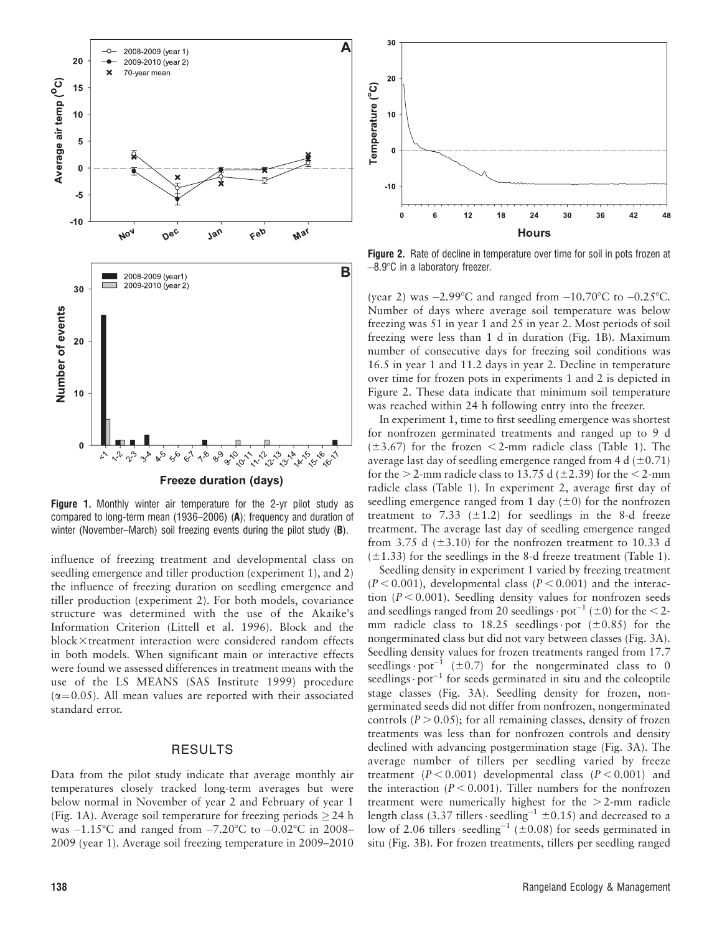

Figure 1. Monthly winter air temperature for the 2-yr pilot study as compared to long-term mean (1936–2006) (A); frequency and duration of winter (November–March) soil freezing events during the pilot study (**B**).

influence of freezing treatment and developmental class on seedling emergence and tiller production (experiment 1), and 2) the influence of freezing duration on seedling emergence and tiller production (experiment 2). For both models, covariance structure was determined with the use of the Akaike's Information Criterion (Littell et al. 1996). Block and the block×treatment interaction were considered random effects in both models. When significant main or interactive effects were found we assessed differences in treatment means with the use of the LS MEANS (SAS Institute 1999) procedure  $(\alpha=0.05)$ . All mean values are reported with their associated standard error.

### RESULTS

Data from the pilot study indicate that average monthly air temperatures closely tracked long-term averages but were below normal in November of year 2 and February of year 1 (Fig. 1A). Average soil temperature for freezing periods  $\geq$  24 h was  $-1.15^{\circ}$ C and ranged from  $-7.20^{\circ}$ C to  $-0.02^{\circ}$ C in 2008– 2009 (year 1). Average soil freezing temperature in 2009–2010



Figure 2. Rate of decline in temperature over time for soil in pots frozen at  $-8.9^{\circ}$ C in a laboratory freezer.

(year 2) was  $-2.99^{\circ}$ C and ranged from  $-10.70^{\circ}$ C to  $-0.25^{\circ}$ C. Number of days where average soil temperature was below freezing was 51 in year 1 and 25 in year 2. Most periods of soil freezing were less than 1 d in duration (Fig. 1B). Maximum number of consecutive days for freezing soil conditions was 16.5 in year 1 and 11.2 days in year 2. Decline in temperature over time for frozen pots in experiments 1 and 2 is depicted in Figure 2. These data indicate that minimum soil temperature was reached within 24 h following entry into the freezer.

In experiment 1, time to first seedling emergence was shortest for nonfrozen germinated treatments and ranged up to 9 d  $(\pm 3.67)$  for the frozen < 2-mm radicle class (Table 1). The average last day of seedling emergence ranged from 4 d  $(\pm 0.71)$ for the  $>$  2-mm radicle class to 13.75 d ( $\pm$ 2.39) for the < 2-mm radicle class (Table 1). In experiment 2, average first day of seedling emergence ranged from 1 day  $(\pm 0)$  for the nonfrozen treatment to 7.33 ( $\pm$ 1.2) for seedlings in the 8-d freeze treatment. The average last day of seedling emergence ranged from 3.75 d ( $\pm$ 3.10) for the nonfrozen treatment to 10.33 d  $(\pm 1.33)$  for the seedlings in the 8-d freeze treatment (Table 1).

Seedling density in experiment 1 varied by freezing treatment  $(P < 0.001)$ , developmental class  $(P < 0.001)$  and the interaction ( $P < 0.001$ ). Seedling density values for nonfrozen seeds and seedlings ranged from 20 seedlings  $\cdot$  pot<sup>-1</sup> ( $\pm$ 0) for the < 2mm radicle class to  $18.25$  seedlings pot ( $\pm 0.85$ ) for the nongerminated class but did not vary between classes (Fig. 3A). Seedling density values for frozen treatments ranged from 17.7 seedlings  $pot^{-1}$  ( $\pm 0.7$ ) for the nongerminated class to 0 seedlings  $\cdot$  pot<sup>-1</sup> for seeds germinated in situ and the coleoptile stage classes (Fig. 3A). Seedling density for frozen, nongerminated seeds did not differ from nonfrozen, nongerminated controls ( $P > 0.05$ ); for all remaining classes, density of frozen treatments was less than for nonfrozen controls and density declined with advancing postgermination stage (Fig. 3A). The average number of tillers per seedling varied by freeze treatment  $(P < 0.001)$  developmental class  $(P < 0.001)$  and the interaction ( $P < 0.001$ ). Tiller numbers for the nonfrozen treatment were numerically highest for the  $>2$ -mm radicle length class (3.37 tillers · seedling<sup>-1</sup>  $\pm$ 0.15) and decreased to a low of 2.06 tillers · seedling<sup>-1</sup> ( $\pm$ 0.08) for seeds germinated in situ (Fig. 3B). For frozen treatments, tillers per seedling ranged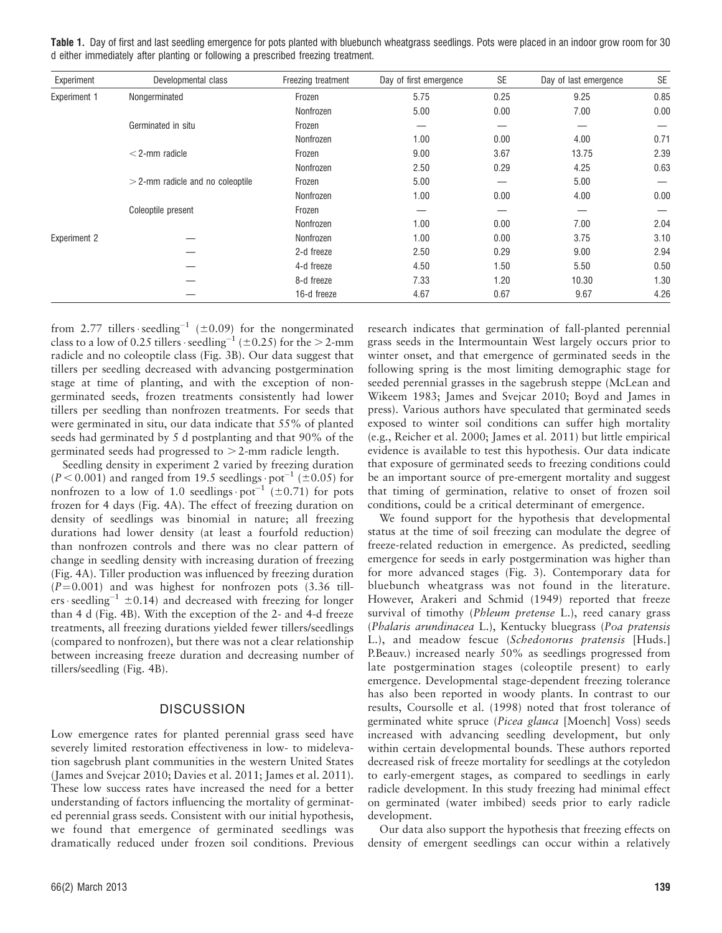| Experiment          | Developmental class                | Freezing treatment | Day of first emergence | <b>SE</b> | Day of last emergence | <b>SE</b> |
|---------------------|------------------------------------|--------------------|------------------------|-----------|-----------------------|-----------|
| Experiment 1        | Nongerminated                      | Frozen             | 5.75                   | 0.25      | 9.25                  | 0.85      |
|                     |                                    | Nonfrozen          | 5.00                   | 0.00      | 7.00                  | 0.00      |
|                     | Germinated in situ                 | Frozen             | –                      |           |                       |           |
|                     |                                    | Nonfrozen          | 1.00                   | 0.00      | 4.00                  | 0.71      |
|                     | $<$ 2-mm radicle                   | Frozen             | 9.00                   | 3.67      | 13.75                 | 2.39      |
|                     |                                    | Nonfrozen          | 2.50                   | 0.29      | 4.25                  | 0.63      |
|                     | $>$ 2-mm radicle and no coleoptile | Frozen             | 5.00                   | –         | 5.00                  |           |
|                     |                                    | Nonfrozen          | 1.00                   | 0.00      | 4.00                  | 0.00      |
|                     | Coleoptile present                 | Frozen             | --                     |           |                       |           |
|                     |                                    | Nonfrozen          | 1.00                   | 0.00      | 7.00                  | 2.04      |
| <b>Experiment 2</b> |                                    | Nonfrozen          | 1.00                   | 0.00      | 3.75                  | 3.10      |
|                     |                                    | 2-d freeze         | 2.50                   | 0.29      | 9.00                  | 2.94      |
|                     |                                    | 4-d freeze         | 4.50                   | 1.50      | 5.50                  | 0.50      |
|                     |                                    | 8-d freeze         | 7.33                   | 1.20      | 10.30                 | 1.30      |
|                     |                                    | 16-d freeze        | 4.67                   | 0.67      | 9.67                  | 4.26      |

Table 1. Day of first and last seedling emergence for pots planted with bluebunch wheatgrass seedlings. Pots were placed in an indoor grow room for 30 d either immediately after planting or following a prescribed freezing treatment.

from 2.77 tillers seedling<sup>-1</sup> ( $\pm$ 0.09) for the nongerminated class to a low of 0.25 tillers  $\cdot$  seedling<sup>-1</sup> ( $\pm$ 0.25) for the  $>$  2-mm radicle and no coleoptile class (Fig. 3B). Our data suggest that tillers per seedling decreased with advancing postgermination stage at time of planting, and with the exception of nongerminated seeds, frozen treatments consistently had lower tillers per seedling than nonfrozen treatments. For seeds that were germinated in situ, our data indicate that 55% of planted seeds had germinated by 5 d postplanting and that 90% of the germinated seeds had progressed to  $> 2$ -mm radicle length.

Seedling density in experiment 2 varied by freezing duration  $(P < 0.001)$  and ranged from 19.5 seedlings  $\cdot$  pot<sup>-1</sup> ( $\pm 0.05$ ) for nonfrozen to a low of 1.0 seedlings  $pot^{-1}$  ( $\pm$ 0.71) for pots frozen for 4 days (Fig. 4A). The effect of freezing duration on density of seedlings was binomial in nature; all freezing durations had lower density (at least a fourfold reduction) than nonfrozen controls and there was no clear pattern of change in seedling density with increasing duration of freezing (Fig. 4A). Tiller production was influenced by freezing duration  $(P=0.001)$  and was highest for nonfrozen pots (3.36 tillers seedling<sup>-1</sup>  $\pm$ 0.14) and decreased with freezing for longer than 4 d (Fig. 4B). With the exception of the 2- and 4-d freeze treatments, all freezing durations yielded fewer tillers/seedlings (compared to nonfrozen), but there was not a clear relationship between increasing freeze duration and decreasing number of tillers/seedling (Fig. 4B).

### **DISCUSSION**

Low emergence rates for planted perennial grass seed have severely limited restoration effectiveness in low- to midelevation sagebrush plant communities in the western United States (James and Svejcar 2010; Davies et al. 2011; James et al. 2011). These low success rates have increased the need for a better understanding of factors influencing the mortality of germinated perennial grass seeds. Consistent with our initial hypothesis, we found that emergence of germinated seedlings was dramatically reduced under frozen soil conditions. Previous

66(2) March 2013 139

research indicates that germination of fall-planted perennial grass seeds in the Intermountain West largely occurs prior to winter onset, and that emergence of germinated seeds in the following spring is the most limiting demographic stage for seeded perennial grasses in the sagebrush steppe (McLean and Wikeem 1983; James and Svejcar 2010; Boyd and James in press). Various authors have speculated that germinated seeds exposed to winter soil conditions can suffer high mortality (e.g., Reicher et al. 2000; James et al. 2011) but little empirical evidence is available to test this hypothesis. Our data indicate that exposure of germinated seeds to freezing conditions could be an important source of pre-emergent mortality and suggest that timing of germination, relative to onset of frozen soil conditions, could be a critical determinant of emergence.

We found support for the hypothesis that developmental status at the time of soil freezing can modulate the degree of freeze-related reduction in emergence. As predicted, seedling emergence for seeds in early postgermination was higher than for more advanced stages (Fig. 3). Contemporary data for bluebunch wheatgrass was not found in the literature. However, Arakeri and Schmid (1949) reported that freeze survival of timothy (*Phleum pretense L.*), reed canary grass (Phalaris arundinacea L.), Kentucky bluegrass (Poa pratensis L.), and meadow fescue (Schedonorus pratensis [Huds.] P.Beauv.) increased nearly 50% as seedlings progressed from late postgermination stages (coleoptile present) to early emergence. Developmental stage-dependent freezing tolerance has also been reported in woody plants. In contrast to our results, Coursolle et al. (1998) noted that frost tolerance of germinated white spruce (Picea glauca [Moench] Voss) seeds increased with advancing seedling development, but only within certain developmental bounds. These authors reported decreased risk of freeze mortality for seedlings at the cotyledon to early-emergent stages, as compared to seedlings in early radicle development. In this study freezing had minimal effect on germinated (water imbibed) seeds prior to early radicle development.

Our data also support the hypothesis that freezing effects on density of emergent seedlings can occur within a relatively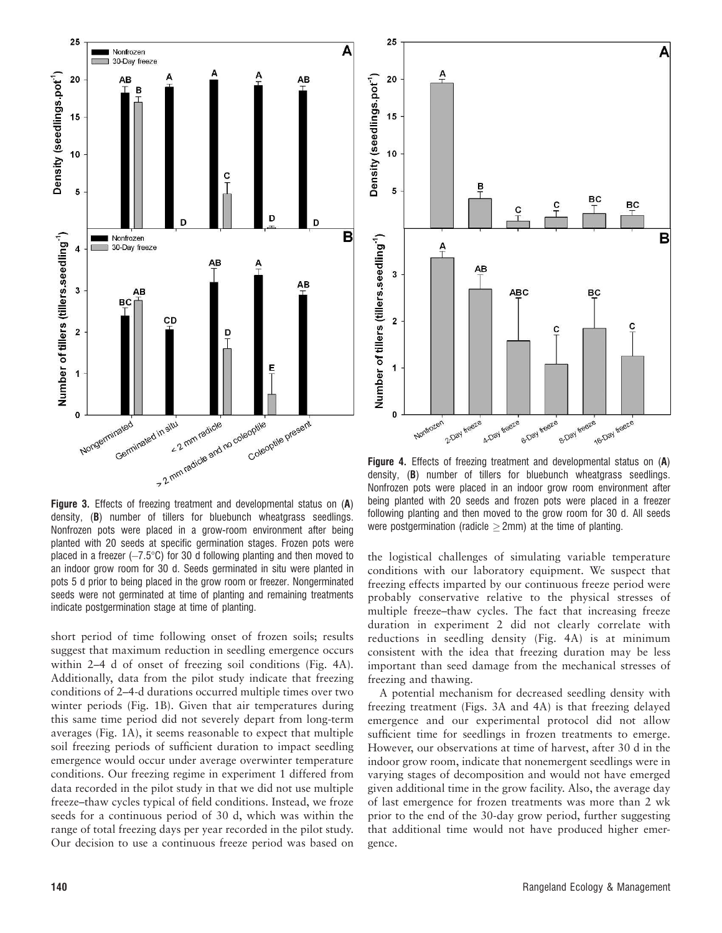

Figure 3. Effects of freezing treatment and developmental status on (A) density, (B) number of tillers for bluebunch wheatgrass seedlings. Nonfrozen pots were placed in a grow-room environment after being planted with 20 seeds at specific germination stages. Frozen pots were placed in a freezer  $(-7.5^{\circ}\text{C})$  for 30 d following planting and then moved to an indoor grow room for 30 d. Seeds germinated in situ were planted in pots 5 d prior to being placed in the grow room or freezer. Nongerminated seeds were not germinated at time of planting and remaining treatments indicate postgermination stage at time of planting.

short period of time following onset of frozen soils; results suggest that maximum reduction in seedling emergence occurs within 2–4 d of onset of freezing soil conditions (Fig. 4A). Additionally, data from the pilot study indicate that freezing conditions of 2–4-d durations occurred multiple times over two winter periods (Fig. 1B). Given that air temperatures during this same time period did not severely depart from long-term averages (Fig. 1A), it seems reasonable to expect that multiple soil freezing periods of sufficient duration to impact seedling emergence would occur under average overwinter temperature conditions. Our freezing regime in experiment 1 differed from data recorded in the pilot study in that we did not use multiple freeze–thaw cycles typical of field conditions. Instead, we froze seeds for a continuous period of 30 d, which was within the range of total freezing days per year recorded in the pilot study. Our decision to use a continuous freeze period was based on



Figure 4. Effects of freezing treatment and developmental status on (A) density, (B) number of tillers for bluebunch wheatgrass seedlings. Nonfrozen pots were placed in an indoor grow room environment after being planted with 20 seeds and frozen pots were placed in a freezer following planting and then moved to the grow room for 30 d. All seeds were postgermination (radicle  $\geq$  2mm) at the time of planting.

the logistical challenges of simulating variable temperature conditions with our laboratory equipment. We suspect that freezing effects imparted by our continuous freeze period were probably conservative relative to the physical stresses of multiple freeze–thaw cycles. The fact that increasing freeze duration in experiment 2 did not clearly correlate with reductions in seedling density (Fig. 4A) is at minimum consistent with the idea that freezing duration may be less important than seed damage from the mechanical stresses of freezing and thawing.

A potential mechanism for decreased seedling density with freezing treatment (Figs. 3A and 4A) is that freezing delayed emergence and our experimental protocol did not allow sufficient time for seedlings in frozen treatments to emerge. However, our observations at time of harvest, after 30 d in the indoor grow room, indicate that nonemergent seedlings were in varying stages of decomposition and would not have emerged given additional time in the grow facility. Also, the average day of last emergence for frozen treatments was more than 2 wk prior to the end of the 30-day grow period, further suggesting that additional time would not have produced higher emergence.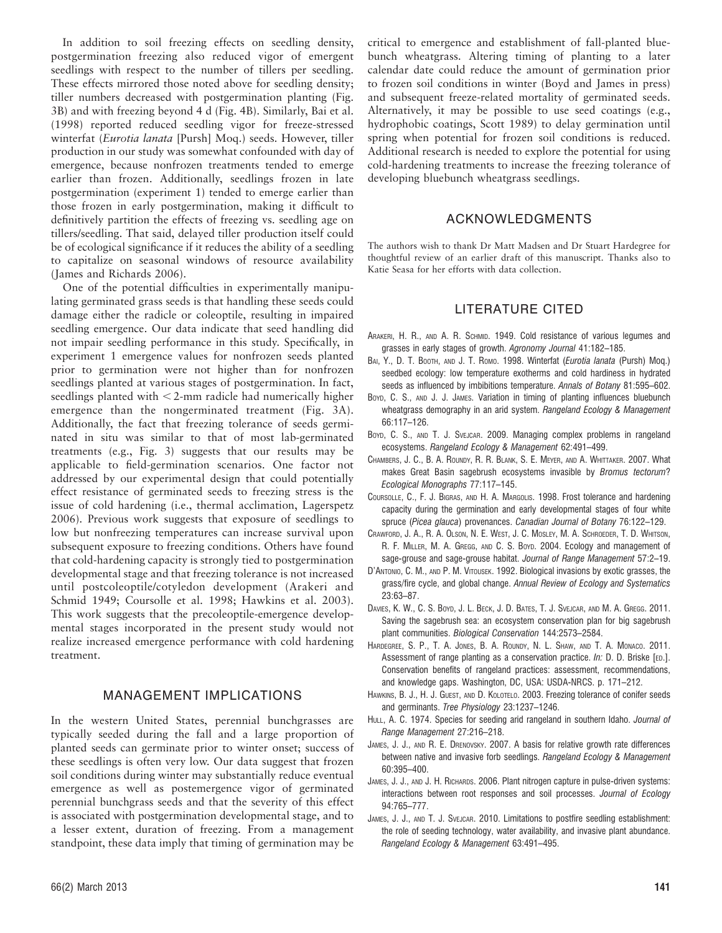In addition to soil freezing effects on seedling density, postgermination freezing also reduced vigor of emergent seedlings with respect to the number of tillers per seedling. These effects mirrored those noted above for seedling density; tiller numbers decreased with postgermination planting (Fig. 3B) and with freezing beyond 4 d (Fig. 4B). Similarly, Bai et al. (1998) reported reduced seedling vigor for freeze-stressed winterfat (Eurotia lanata [Pursh] Moq.) seeds. However, tiller production in our study was somewhat confounded with day of emergence, because nonfrozen treatments tended to emerge earlier than frozen. Additionally, seedlings frozen in late postgermination (experiment 1) tended to emerge earlier than those frozen in early postgermination, making it difficult to definitively partition the effects of freezing vs. seedling age on tillers/seedling. That said, delayed tiller production itself could be of ecological significance if it reduces the ability of a seedling to capitalize on seasonal windows of resource availability (James and Richards 2006).

One of the potential difficulties in experimentally manipulating germinated grass seeds is that handling these seeds could damage either the radicle or coleoptile, resulting in impaired seedling emergence. Our data indicate that seed handling did not impair seedling performance in this study. Specifically, in experiment 1 emergence values for nonfrozen seeds planted prior to germination were not higher than for nonfrozen seedlings planted at various stages of postgermination. In fact, seedlings planted with  $\leq$ 2-mm radicle had numerically higher emergence than the nongerminated treatment (Fig. 3A). Additionally, the fact that freezing tolerance of seeds germinated in situ was similar to that of most lab-germinated treatments (e.g., Fig. 3) suggests that our results may be applicable to field-germination scenarios. One factor not addressed by our experimental design that could potentially effect resistance of germinated seeds to freezing stress is the issue of cold hardening (i.e., thermal acclimation, Lagerspetz 2006). Previous work suggests that exposure of seedlings to low but nonfreezing temperatures can increase survival upon subsequent exposure to freezing conditions. Others have found that cold-hardening capacity is strongly tied to postgermination developmental stage and that freezing tolerance is not increased until postcoleoptile/cotyledon development (Arakeri and Schmid 1949; Coursolle et al. 1998; Hawkins et al. 2003). This work suggests that the precoleoptile-emergence developmental stages incorporated in the present study would not realize increased emergence performance with cold hardening treatment.

# MANAGEMENT IMPLICATIONS

In the western United States, perennial bunchgrasses are typically seeded during the fall and a large proportion of planted seeds can germinate prior to winter onset; success of these seedlings is often very low. Our data suggest that frozen soil conditions during winter may substantially reduce eventual emergence as well as postemergence vigor of germinated perennial bunchgrass seeds and that the severity of this effect is associated with postgermination developmental stage, and to a lesser extent, duration of freezing. From a management standpoint, these data imply that timing of germination may be

critical to emergence and establishment of fall-planted bluebunch wheatgrass. Altering timing of planting to a later calendar date could reduce the amount of germination prior to frozen soil conditions in winter (Boyd and James in press) and subsequent freeze-related mortality of germinated seeds. Alternatively, it may be possible to use seed coatings (e.g., hydrophobic coatings, Scott 1989) to delay germination until spring when potential for frozen soil conditions is reduced. Additional research is needed to explore the potential for using cold-hardening treatments to increase the freezing tolerance of developing bluebunch wheatgrass seedlings.

### ACKNOWLEDGMENTS

The authors wish to thank Dr Matt Madsen and Dr Stuart Hardegree for thoughtful review of an earlier draft of this manuscript. Thanks also to Katie Seasa for her efforts with data collection.

## LITERATURE CITED

- ARAKERI, H. R., AND A. R. SCHMID. 1949. Cold resistance of various legumes and grasses in early stages of growth. Agronomy Journal 41:182–185.
- BAI, Y., D. T. BOOTH, AND J. T. ROMO. 1998. Winterfat (Eurotia lanata (Pursh) Moq.) seedbed ecology: low temperature exotherms and cold hardiness in hydrated seeds as influenced by imbibitions temperature. Annals of Botany 81:595–602.
- Boyp, C. S., AND J. J. JAMES. Variation in timing of planting influences bluebunch wheatgrass demography in an arid system. Rangeland Ecology & Management 66:117–126.
- Boyd, C. S., AND T. J. SVEJCAR. 2009. Managing complex problems in rangeland ecosystems. Rangeland Ecology & Management 62:491–499.
- CHAMBERS, J. C., B. A. ROUNDY, R. R. BLANK, S. E. MEYER, AND A. WHITTAKER. 2007. What makes Great Basin sagebrush ecosystems invasible by Bromus tectorum? Ecological Monographs 77:117–145.
- COURSOLLE, C., F. J. BIGRAS, AND H. A. MARGOLIS. 1998. Frost tolerance and hardening capacity during the germination and early developmental stages of four white spruce (Picea glauca) provenances. Canadian Journal of Botany 76:122–129.
- CRAWFORD, J. A., R. A. OLSON, N. E. WEST, J. C. MOSLEY, M. A. SCHROEDER, T. D. WHITSON, R. F. MILLER, M. A. GREGG, AND C. S. BOYD. 2004. Ecology and management of sage-grouse and sage-grouse habitat. Journal of Range Management 57:2–19.
- D'ANTONIO, C. M., AND P. M. VITOUSEK. 1992. Biological invasions by exotic grasses, the grass/fire cycle, and global change. Annual Review of Ecology and Systematics 23:63–87.
- DAVIES, K. W., C. S. BOYD, J. L. BECK, J. D. BATES, T. J. SVEJCAR, AND M. A. GREGG. 2011. Saving the sagebrush sea: an ecosystem conservation plan for big sagebrush plant communities. Biological Conservation 144:2573–2584.
- HARDEGREE, S. P., T. A. JONES, B. A. ROUNDY, N. L. SHAW, AND T. A. MONACO. 2011. Assessment of range planting as a conservation practice. In: D. D. Briske [ED.]. Conservation benefits of rangeland practices: assessment, recommendations, and knowledge gaps. Washington, DC, USA: USDA-NRCS. p. 171–212.
- HAWKINS, B. J., H. J. GUEST, AND D. KOLOTELO. 2003. Freezing tolerance of conifer seeds and germinants. Tree Physiology 23:1237–1246.
- HULL, A. C. 1974. Species for seeding arid rangeland in southern Idaho. Journal of Range Management 27:216–218.
- JAMES, J. J., AND R. E. DRENOVSKY. 2007. A basis for relative growth rate differences between native and invasive forb seedlings. Rangeland Ecology & Management 60:395–400.
- JAMES, J. J., AND J. H. RICHARDS. 2006. Plant nitrogen capture in pulse-driven systems: interactions between root responses and soil processes. Journal of Ecology 94:765–777.
- JAMES, J. J., AND T. J. SVEJCAR. 2010. Limitations to postfire seedling establishment: the role of seeding technology, water availability, and invasive plant abundance. Rangeland Ecology & Management 63:491–495.